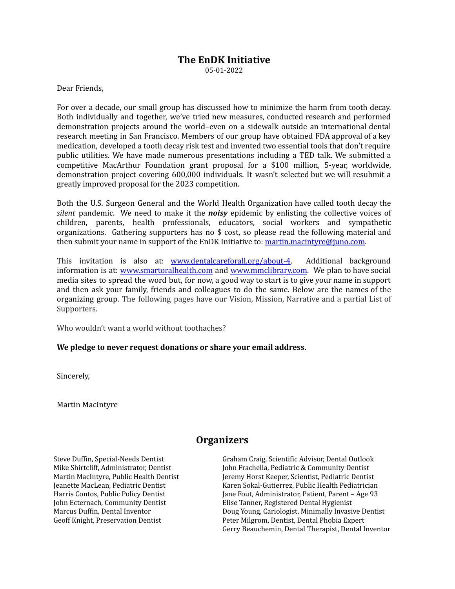## **The EnDK Initiative**

05-01-2022

Dear Friends,

For over a decade, our small group has discussed how to minimize the harm from tooth decay. Both individually and together, we've tried new measures, conducted research and performed demonstration projects around the world–even on a sidewalk outside an international dental research meeting in San Francisco. Members of our group have obtained FDA approval of a key medication, developed a tooth decay risk test and invented two essential tools that don't require public utilities. We have made numerous presentations including a TED talk. We submitted a competitive MacArthur Foundation grant proposal for a \$100 million, 5-year, worldwide, demonstration project covering 600,000 individuals. It wasn't selected but we will resubmit a greatly improved proposal for the 2023 competition.

Both the U.S. Surgeon General and the World Health Organization have called tooth decay the *silent* pandemic. We need to make it the *noisy* epidemic by enlisting the collective voices of children, parents, health professionals, educators, social workers and sympathetic organizations. Gathering supporters has no \$ cost, so please read the following material and then submit your name in support of the EnDK Initiative to: [martin.macintyre@juno.com](mailto:Martin.macintyre@juno.com).

This invitation is also at: [www.dentalcareforall.org/about-4](http://www.dentalcareforall.org/about-4). Additional background information is at: [www.smartoralhealth.com](http://www.smartoralhealth.com) and [www.mmclibrary.com](http://www.mmclibrary.com). We plan to have social media sites to spread the word but, for now, a good way to start is to give your name in support and then ask your family, friends and colleagues to do the same. Below are the names of the organizing group. The following pages have our Vision, Mission, Narrative and a partial List of Supporters.

Who wouldn't want a world without toothaches?

**We pledge to never request donations or share your email address.**

Sincerely,

Martin MacIntyre

#### **Organizers**

Steve Duffin, Special-Needs Dentist Mike Shirtcliff, Administrator, Dentist Martin MacIntyre, Public Health Dentist Jeanette MacLean, Pediatric Dentist Harris Contos, Public Policy Dentist John Ecternach, Community Dentist Marcus Duffin, Dental Inventor Geoff Knight, Preservation Dentist

Graham Craig, Scientific Advisor, Dental Outlook John Frachella, Pediatric & Community Dentist Jeremy Horst Keeper, Scientist, Pediatric Dentist Karen Sokal-Gutierrez, Public Health Pediatrician Jane Fout, Administrator, Patient, Parent – Age 93 Elise Tanner, Registered Dental Hygienist Doug Young, Cariologist, Minimally Invasive Dentist Peter Milgrom, Dentist, Dental Phobia Expert Gerry Beauchemin, Dental Therapist, Dental Inventor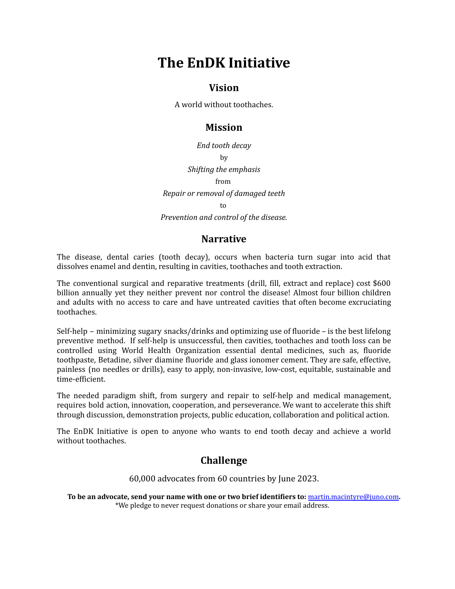# **The EnDK Initiative**

#### **Vision**

A world without toothaches.

### **Mission**

*End tooth decay* by *Shifting the emphasis* from *Repair or removal of damaged teeth* to

*Prevention and control of the disease.*

#### **Narrative**

The disease, dental caries (tooth decay), occurs when bacteria turn sugar into acid that dissolves enamel and dentin, resulting in cavities, toothaches and tooth extraction.

The conventional surgical and reparative treatments (drill, fill, extract and replace) cost \$600 billion annually yet they neither prevent nor control the disease! Almost four billion children and adults with no access to care and have untreated cavities that often become excruciating toothaches.

Self-help – minimizing sugary snacks/drinks and optimizing use of fluoride – is the best lifelong preventive method. If self-help is unsuccessful, then cavities, toothaches and tooth loss can be controlled using World Health Organization essential dental medicines, such as, fluoride toothpaste, Betadine, silver diamine fluoride and glass ionomer cement. They are safe, effective, painless (no needles or drills), easy to apply, non-invasive, low-cost, equitable, sustainable and time-efficient.

The needed paradigm shift, from surgery and repair to self-help and medical management, requires bold action, innovation, cooperation, and perseverance. We want to accelerate this shift through discussion, demonstration projects, public education, collaboration and political action.

The EnDK Initiative is open to anyone who wants to end tooth decay and achieve a world without toothaches.

## **Challenge**

60,000 advocates from 60 countries by June 2023.

**To be an advocate, send your name with one or two brief identifiers to:** [martin.macintyre@juno.com](mailto:martin.macintyre@juno.com)**.** \*We pledge to never request donations or share your email address.